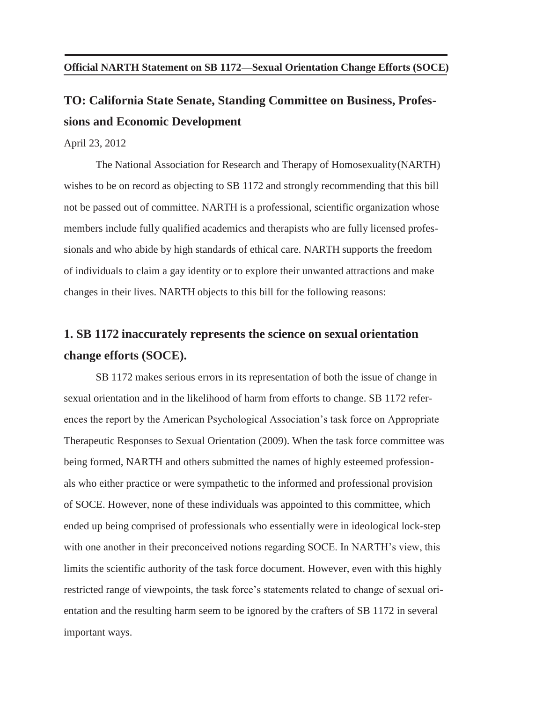### **TO: California State Senate, Standing Committee on Business, Professions and Economic Development**

April 23, 2012

The National Association for Research and Therapy of Homosexuality(NARTH) wishes to be on record as objecting to SB 1172 and strongly recommending that this bill not be passed out of committee. NARTH is a professional, scientific organization whose members include fully qualified academics and therapists who are fully licensed professionals and who abide by high standards of ethical care. NARTH supports the freedom of individuals to claim a gay identity or to explore their unwanted attractions and make changes in their lives. NARTH objects to this bill for the following reasons:

## **1. SB 1172 inaccurately represents the science on sexual orientation change efforts (SOCE).**

SB 1172 makes serious errors in its representation of both the issue of change in sexual orientation and in the likelihood of harm from efforts to change. SB 1172 references the report by the American Psychological Association's task force on Appropriate Therapeutic Responses to Sexual Orientation (2009). When the task force committee was being formed, NARTH and others submitted the names of highly esteemed professionals who either practice or were sympathetic to the informed and professional provision of SOCE. However, none of these individuals was appointed to this committee, which ended up being comprised of professionals who essentially were in ideological lock-step with one another in their preconceived notions regarding SOCE. In NARTH's view, this limits the scientific authority of the task force document. However, even with this highly restricted range of viewpoints, the task force's statements related to change of sexual orientation and the resulting harm seem to be ignored by the crafters of SB 1172 in several important ways.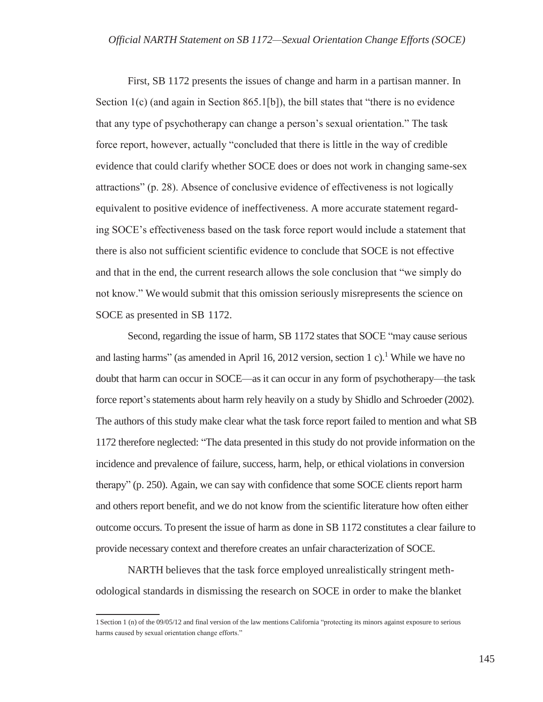First, SB 1172 presents the issues of change and harm in a partisan manner. In Section 1(c) (and again in Section 865.1[b]), the bill states that "there is no evidence that any type of psychotherapy can change a person's sexual orientation." The task force report, however, actually "concluded that there is little in the way of credible evidence that could clarify whether SOCE does or does not work in changing same-sex attractions" (p. 28). Absence of conclusive evidence of effectiveness is not logically equivalent to positive evidence of ineffectiveness. A more accurate statement regarding SOCE's effectiveness based on the task force report would include a statement that there is also not sufficient scientific evidence to conclude that SOCE is not effective and that in the end, the current research allows the sole conclusion that "we simply do not know." We would submit that this omission seriously misrepresents the science on SOCE as presented in SB 1172.

Second, regarding the issue of harm, SB 1172 states that SOCE "may cause serious and lasting harms" (as amended in April 16, 2012 version, section 1 c).<sup>1</sup> While we have no doubt that harm can occur in SOCE—as it can occur in any form of psychotherapy—the task force report's statements about harm rely heavily on a study by Shidlo and Schroeder (2002). The authors of this study make clear what the task force report failed to mention and what SB 1172 therefore neglected: "The data presented in this study do not provide information on the incidence and prevalence of failure, success, harm, help, or ethical violations in conversion therapy" (p. 250). Again, we can say with confidence that some SOCE clients report harm and others report benefit, and we do not know from the scientific literature how often either outcome occurs. To present the issue of harm as done in SB 1172 constitutes a clear failure to provide necessary context and therefore creates an unfair characterization of SOCE.

NARTH believes that the task force employed unrealistically stringent methodological standards in dismissing the research on SOCE in order to make the blanket

<sup>1</sup>Section 1 (n) of the 09/05/12 and final version of the law mentions California "protecting its minors against exposure to serious harms caused by sexual orientation change efforts."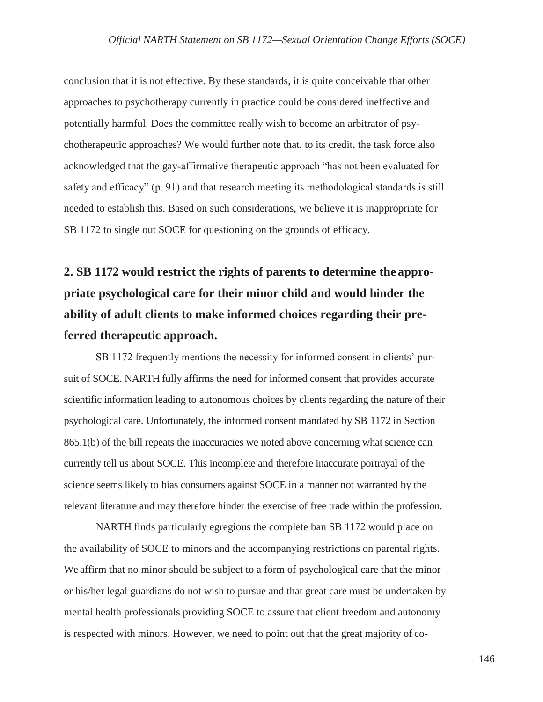conclusion that it is not effective. By these standards, it is quite conceivable that other approaches to psychotherapy currently in practice could be considered ineffective and potentially harmful. Does the committee really wish to become an arbitrator of psychotherapeutic approaches? We would further note that, to its credit, the task force also acknowledged that the gay-affirmative therapeutic approach "has not been evaluated for safety and efficacy" (p. 91) and that research meeting its methodological standards is still needed to establish this. Based on such considerations, we believe it is inappropriate for SB 1172 to single out SOCE for questioning on the grounds of efficacy.

# **2. SB 1172 would restrict the rights of parents to determine the appropriate psychological care for their minor child and would hinder the ability of adult clients to make informed choices regarding their preferred therapeutic approach.**

SB 1172 frequently mentions the necessity for informed consent in clients' pursuit of SOCE. NARTH fully affirms the need for informed consent that provides accurate scientific information leading to autonomous choices by clients regarding the nature of their psychological care. Unfortunately, the informed consent mandated by SB 1172 in Section 865.1(b) of the bill repeats the inaccuracies we noted above concerning what science can currently tell us about SOCE. This incomplete and therefore inaccurate portrayal of the science seems likely to bias consumers against SOCE in a manner not warranted by the relevant literature and may therefore hinder the exercise of free trade within the profession.

NARTH finds particularly egregious the complete ban SB 1172 would place on the availability of SOCE to minors and the accompanying restrictions on parental rights. We affirm that no minor should be subject to a form of psychological care that the minor or his/her legal guardians do not wish to pursue and that great care must be undertaken by mental health professionals providing SOCE to assure that client freedom and autonomy is respected with minors. However, we need to point out that the great majority of co-

146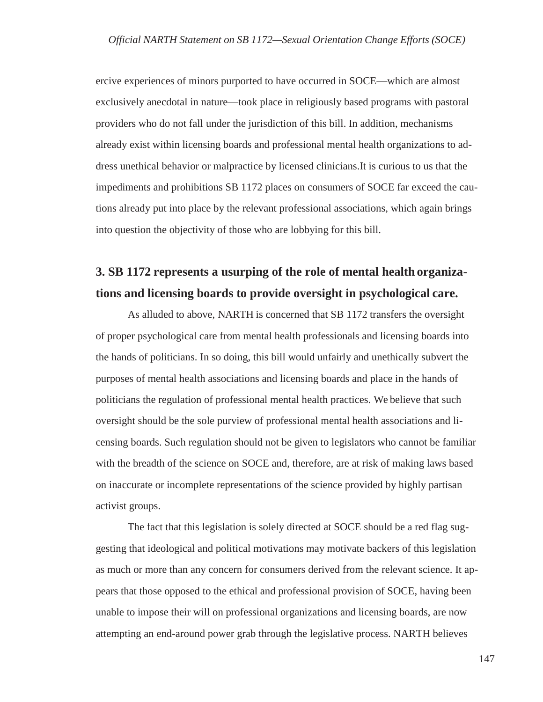ercive experiences of minors purported to have occurred in SOCE—which are almost exclusively anecdotal in nature—took place in religiously based programs with pastoral providers who do not fall under the jurisdiction of this bill. In addition, mechanisms already exist within licensing boards and professional mental health organizations to address unethical behavior or malpractice by licensed clinicians.It is curious to us that the impediments and prohibitions SB 1172 places on consumers of SOCE far exceed the cautions already put into place by the relevant professional associations, which again brings into question the objectivity of those who are lobbying for this bill.

### **3. SB 1172 represents a usurping of the role of mental health organizations and licensing boards to provide oversight in psychological care.**

As alluded to above, NARTH is concerned that SB 1172 transfers the oversight of proper psychological care from mental health professionals and licensing boards into the hands of politicians. In so doing, this bill would unfairly and unethically subvert the purposes of mental health associations and licensing boards and place in the hands of politicians the regulation of professional mental health practices. We believe that such oversight should be the sole purview of professional mental health associations and licensing boards. Such regulation should not be given to legislators who cannot be familiar with the breadth of the science on SOCE and, therefore, are at risk of making laws based on inaccurate or incomplete representations of the science provided by highly partisan activist groups.

The fact that this legislation is solely directed at SOCE should be a red flag suggesting that ideological and political motivations may motivate backers of this legislation as much or more than any concern for consumers derived from the relevant science. It appears that those opposed to the ethical and professional provision of SOCE, having been unable to impose their will on professional organizations and licensing boards, are now attempting an end-around power grab through the legislative process. NARTH believes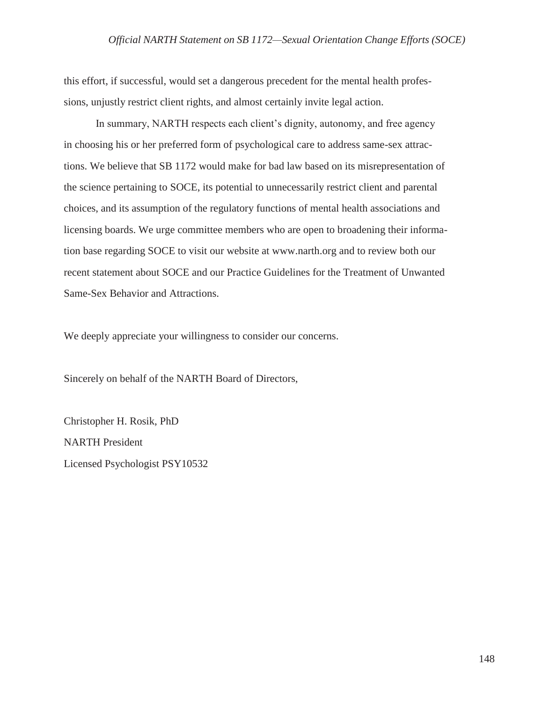this effort, if successful, would set a dangerous precedent for the mental health professions, unjustly restrict client rights, and almost certainly invite legal action.

In summary, NARTH respects each client's dignity, autonomy, and free agency in choosing his or her preferred form of psychological care to address same-sex attractions. We believe that SB 1172 would make for bad law based on its misrepresentation of the science pertaining to SOCE, its potential to unnecessarily restrict client and parental choices, and its assumption of the regulatory functions of mental health associations and licensing boards. We urge committee members who are open to broadening their information base regarding SOCE to visit our website at [www.narth.org](http://www.narth.org/) and to review both our recent statement about SOCE and our Practice Guidelines for the Treatment of Unwanted Same-Sex Behavior and Attractions.

We deeply appreciate your willingness to consider our concerns.

Sincerely on behalf of the NARTH Board of Directors,

Christopher H. Rosik, PhD NARTH President Licensed Psychologist PSY10532